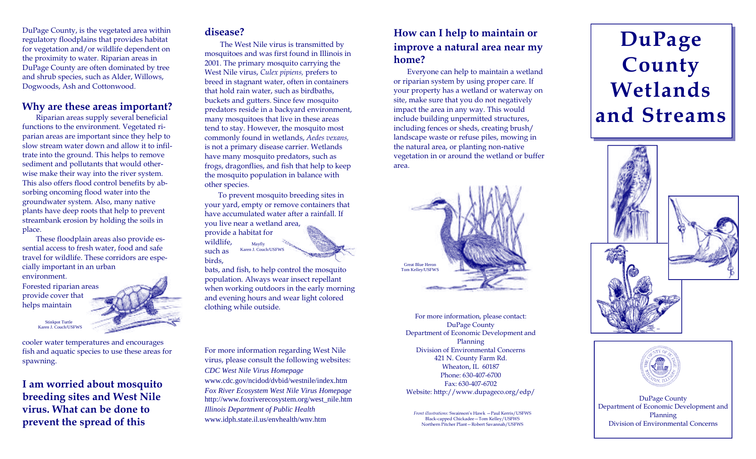DuPage County, is the vegetated area within regulatory floodplains that provides habitat for vegetation and/or wildlife dependent on the proximity to water. Riparian areas in DuPage County are often dominated by tree and shrub species, such as Alder, Willows, Dogwoods, Ash and Cottonwood.

#### **Why are these areas important?**

Riparian areas supply several beneficial functions to the environment. Vegetated riparian areas are important since they help to slow stream water down and allow it to infiltrate into the ground. This helps to remove sediment and pollutants that would otherwise make their way into the river system. This also offers flood control benefits by absorbing oncoming flood water into the groundwater system. Also, many native plants have deep roots that help to prevent streambank erosion by holding the soils in place.

These floodplain areas also provide essential access to fresh water, food and safe travel for wildlife. These corridors are especially important in an urban

environment.

Forested riparian areas provide cover that helps maintain

> Stinkpot Turtle Karen J. Couch/USFWS

cooler water temperatures and encourages fish and aquatic species to use these areas for spawning.

**I am worried about mosquito breeding sites and West Nile virus. What can be done to prevent the spread of this** 

#### **disease?**

 The West Nile virus is transmitted by mosquitoes and was first found in Illinois in 2001. The primary mosquito carrying the West Nile virus, *Culex pipiens,* prefers to breed in stagnant water, often in containers that hold rain water, such as birdbaths, buckets and gutters. Since few mosquito predators reside in a backyard environment, many mosquitoes that live in these areas tend to stay. However, the mosquito most commonly found in wetlands, *Aedes vexans,*  is not a primary disease carrier. Wetlands have many mosquito predators, such as frogs, dragonflies, and fish that help to keep the mosquito population in balance with other species.

To prevent mosquito breeding sites in your yard, empty or remove containers that have accumulated water after a rainfall. If you live near a wetland area, provide a habitat for wildlife, such as birds, Mayfly Karen J. Couch/USFWS

bats, and fish, to help control the mosquito population. Always wear insect repellant when working outdoors in the early morning and evening hours and wear light colored clothing while outside.

For more information regarding West Nile virus, please consult the following websites: *CDC West Nile Virus Homepage*  www.cdc.gov/ncidod/dvbid/westnile/index.htm *Fox River Ecosystem West Nile Virus Homepage*  http://www.foxriverecosystem.org/west\_nile.htm *Illinois Department of Public Health*  www.idph.state.il.us/envhealth/wnv.htm

## **How can I help to maintain or improve a natural area near my home?**

Everyone can help to maintain a wetland or riparian system by using proper care. If your property has a wetland or waterway on site, make sure that you do not negatively impact the area in any way. This would include building unpermitted structures, including fences or sheds, creating brush/ landscape waste or refuse piles, mowing in the natural area, or planting non-native vegetation in or around the wetland or buffer area.



For more information, please contact: DuPage County Department of Economic Development and Planning Division of Environmental Concerns 421 N. County Farm Rd. Wheaton, IL 60187 Phone: 630-407-6700 Fax: 630-407-6702 Website: http://www.dupageco.org/edp/ DuPage County

*Front illustrations:* Swainson's Hawk —Paul Kerris/USFWS Black-capped Chickadee—Tom Kelley/USFWS Northern Pitcher Plant—Robert Savannah/USFWS

# **DuPage County Wetlands and Streams**





Department of Economic Development and Planning Division of Environmental Concerns